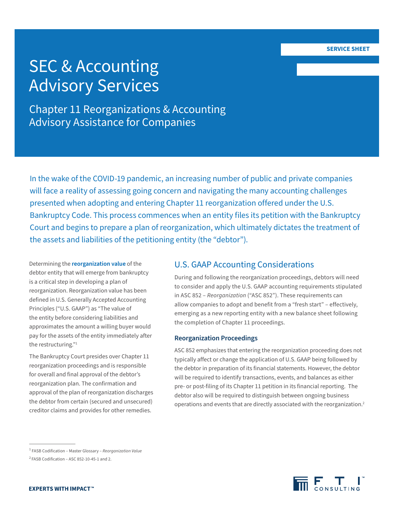# SEC & Accounting Advisory Services

Chapter 11 Reorganizations & Accounting Advisory Assistance for Companies

In the wake of the COVID-19 pandemic, an increasing number of public and private companies will face a reality of assessing going concern and navigating the many accounting challenges presented when adopting and entering Chapter 11 reorganization offered under the U.S. Bankruptcy Code. This process commences when an entity files its petition with the Bankruptcy Court and begins to prepare a plan of reorganization, which ultimately dictates the treatment of the assets and liabilities of the petitioning entity (the "debtor").

Determining the **reorganization value** of the debtor entity that will emerge from bankruptcy is a critical step in developing a plan of reorganization. Reorganization value has been defined in U.S. Generally Accepted Accounting Principles ("U.S. GAAP") as "The value of the entity before considering liabilities and approximates the amount a willing buyer would pay for the assets of the entity immediately after the restructuring."1

The Bankruptcy Court presides over Chapter 11 reorganization proceedings and is responsible for overall and final approval of the debtor's reorganization plan. The confirmation and approval of the plan of reorganization discharges the debtor from certain (secured and unsecured) creditor claims and provides for other remedies.

# U.S. GAAP Accounting Considerations

During and following the reorganization proceedings, debtors will need to consider and apply the U.S. GAAP accounting requirements stipulated in ASC 852 – *Reorganization* ("ASC 852"). These requirements can allow companies to adopt and benefit from a "fresh start" – effectively, emerging as a new reporting entity with a new balance sheet following the completion of Chapter 11 proceedings.

## **Reorganization Proceedings**

ASC 852 emphasizes that entering the reorganization proceeding does not typically affect or change the application of U.S. GAAP being followed by the debtor in preparation of its financial statements. However, the debtor will be required to identify transactions, events, and balances as either pre- or post-filing of its Chapter 11 petition in its financial reporting. The debtor also will be required to distinguish between ongoing business operations and events that are directly associated with the reorganization.<sup>2</sup>



<sup>1</sup> FASB Codification – Master Glossary – *Reorganization Value*

<sup>2</sup> FASB Codification – ASC 852-10-45-1 and 2.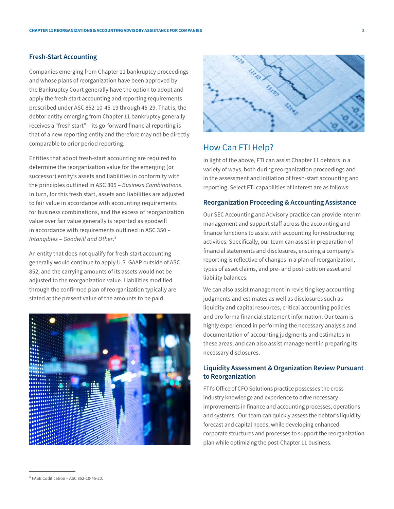## **Fresh-Start Accounting**

Companies emerging from Chapter 11 bankruptcy proceedings and whose plans of reorganization have been approved by the Bankruptcy Court generally have the option to adopt and apply the fresh-start accounting and reporting requirements prescribed under ASC 852-10-45-19 through 45-29. That is, the debtor entity emerging from Chapter 11 bankruptcy generally receives a "fresh start" – its go-forward financial reporting is that of a new reporting entity and therefore may not be directly comparable to prior period reporting.

Entities that adopt fresh-start accounting are required to determine the reorganization value for the emerging (or successor) entity's assets and liabilities in conformity with the principles outlined in ASC 805 – *Business Combinations*. In turn, for this fresh start, assets and liabilities are adjusted to fair value in accordance with accounting requirements for business combinations, and the excess of reorganization value over fair value generally is reported as goodwill in accordance with requirements outlined in ASC 350 – *Intangibles* – *Goodwill and Other*. 3

An entity that does not qualify for fresh-start accounting generally would continue to apply U.S. GAAP outside of ASC 852, and the carrying amounts of its assets would not be adjusted to the reorganization value. Liabilities modified through the confirmed plan of reorganization typically are stated at the present value of the amounts to be paid.





## How Can FTI Help?

In light of the above, FTI can assist Chapter 11 debtors in a variety of ways, both during reorganization proceedings and in the assessment and initiation of fresh-start accounting and reporting. Select FTI capabilities of interest are as follows:

## **Reorganization Proceeding & Accounting Assistance**

Our SEC Accounting and Advisory practice can provide interim management and support staff across the accounting and finance functions to assist with accounting for restructuring activities. Specifically, our team can assist in preparation of financial statements and disclosures, ensuring a company's reporting is reflective of changes in a plan of reorganization, types of asset claims, and pre- and post-petition asset and liability balances.

We can also assist management in revisiting key accounting judgments and estimates as well as disclosures such as liquidity and capital resources, critical accounting policies and pro forma financial statement information. Our team is highly experienced in performing the necessary analysis and documentation of accounting judgments and estimates in these areas, and can also assist management in preparing its necessary disclosures.

## **Liquidity Assessment & Organization Review Pursuant to Reorganization**

FTI's Office of CFO Solutions practice possesses the crossindustry knowledge and experience to drive necessary improvements in finance and accounting processes, operations and systems. Our team can quickly assess the debtor's liquidity forecast and capital needs, while developing enhanced corporate structures and processes to support the reorganization plan while optimizing the post-Chapter 11 business.

<sup>3</sup> FASB Codification – ASC 852-10-45-20.